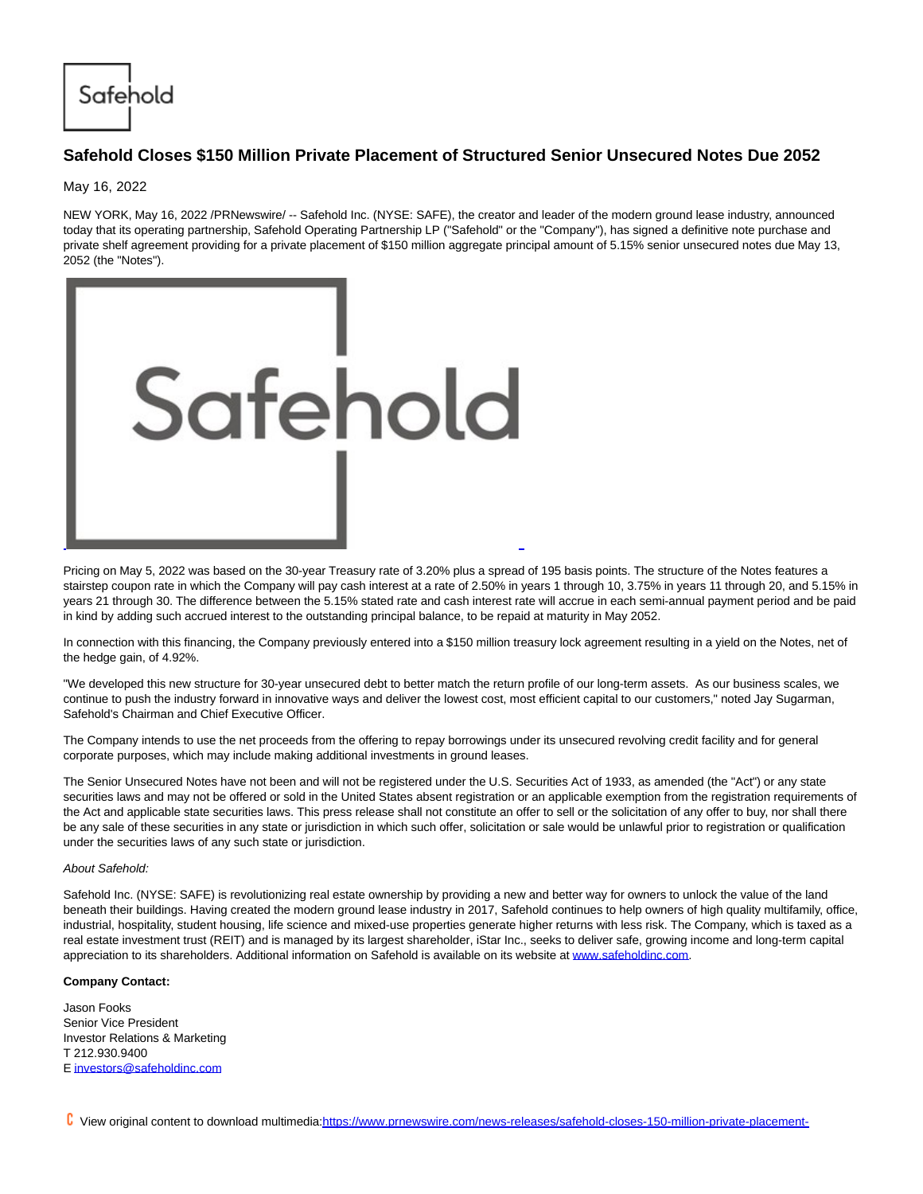Safehold

## **Safehold Closes \$150 Million Private Placement of Structured Senior Unsecured Notes Due 2052**

May 16, 2022

NEW YORK, May 16, 2022 /PRNewswire/ -- Safehold Inc. (NYSE: SAFE), the creator and leader of the modern ground lease industry, announced today that its operating partnership, Safehold Operating Partnership LP ("Safehold" or the "Company"), has signed a definitive note purchase and private shelf agreement providing for a private placement of \$150 million aggregate principal amount of 5.15% senior unsecured notes due May 13, 2052 (the "Notes").



Pricing on May 5, 2022 was based on the 30-year Treasury rate of 3.20% plus a spread of 195 basis points. The structure of the Notes features a stairstep coupon rate in which the Company will pay cash interest at a rate of 2.50% in years 1 through 10, 3.75% in years 11 through 20, and 5.15% in years 21 through 30. The difference between the 5.15% stated rate and cash interest rate will accrue in each semi-annual payment period and be paid in kind by adding such accrued interest to the outstanding principal balance, to be repaid at maturity in May 2052.

In connection with this financing, the Company previously entered into a \$150 million treasury lock agreement resulting in a yield on the Notes, net of the hedge gain, of 4.92%.

"We developed this new structure for 30-year unsecured debt to better match the return profile of our long-term assets. As our business scales, we continue to push the industry forward in innovative ways and deliver the lowest cost, most efficient capital to our customers," noted Jay Sugarman, Safehold's Chairman and Chief Executive Officer.

The Company intends to use the net proceeds from the offering to repay borrowings under its unsecured revolving credit facility and for general corporate purposes, which may include making additional investments in ground leases.

The Senior Unsecured Notes have not been and will not be registered under the U.S. Securities Act of 1933, as amended (the "Act") or any state securities laws and may not be offered or sold in the United States absent registration or an applicable exemption from the registration requirements of the Act and applicable state securities laws. This press release shall not constitute an offer to sell or the solicitation of any offer to buy, nor shall there be any sale of these securities in any state or jurisdiction in which such offer, solicitation or sale would be unlawful prior to registration or qualification under the securities laws of any such state or jurisdiction.

## About Safehold:

Safehold Inc. (NYSE: SAFE) is revolutionizing real estate ownership by providing a new and better way for owners to unlock the value of the land beneath their buildings. Having created the modern ground lease industry in 2017, Safehold continues to help owners of high quality multifamily, office, industrial, hospitality, student housing, life science and mixed-use properties generate higher returns with less risk. The Company, which is taxed as a real estate investment trust (REIT) and is managed by its largest shareholder, iStar Inc., seeks to deliver safe, growing income and long-term capital appreciation to its shareholders. Additional information on Safehold is available on its website a[t www.safeholdinc.com.](https://c212.net/c/link/?t=0&l=en&o=3537140-1&h=1920486931&u=http%3A%2F%2Fwww.safeholdinc.com&a=www.safeholdinc.com)

## **Company Contact:**

Jason Fooks Senior Vice President Investor Relations & Marketing T 212.930.9400 [E investors@safeholdinc.com](mailto:investors@safeholdinc.com)